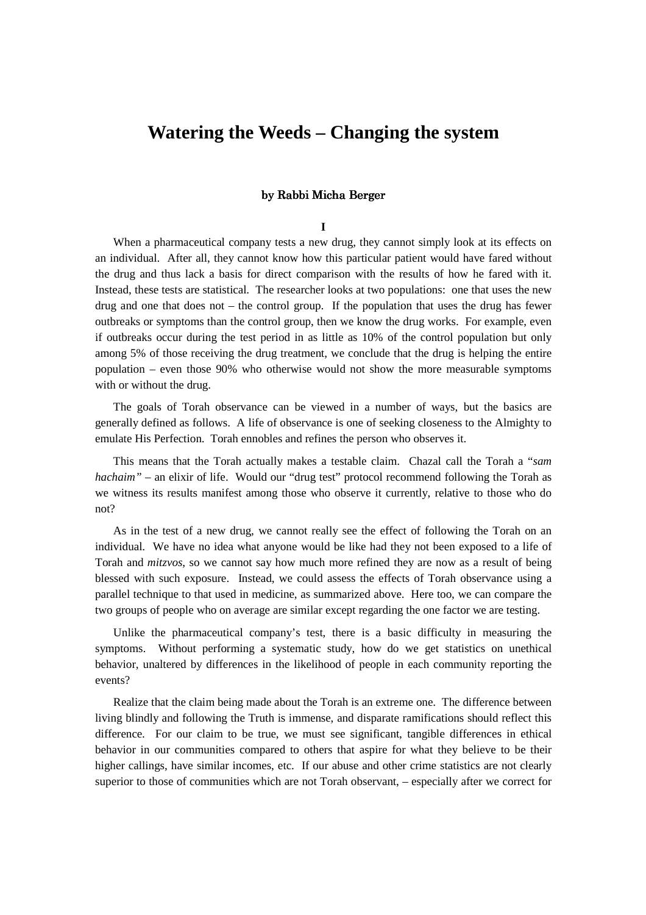# **Watering the Weeds – Changing the system**

# by Rabbi Micha Berger by Rabbi Micha Berger

### **I**

When a pharmaceutical company tests a new drug, they cannot simply look at its effects on an individual. After all, they cannot know how this particular patient would have fared without the drug and thus lack a basis for direct comparison with the results of how he fared with it. Instead, these tests are statistical. The researcher looks at two populations: one that uses the new drug and one that does not – the control group. If the population that uses the drug has fewer outbreaks or symptoms than the control group, then we know the drug works. For example, even if outbreaks occur during the test period in as little as 10% of the control population but only among 5% of those receiving the drug treatment, we conclude that the drug is helping the entire population – even those 90% who otherwise would not show the more measurable symptoms with or without the drug.

The goals of Torah observance can be viewed in a number of ways, but the basics are generally defined as follows. A life of observance is one of seeking closeness to the Almighty to emulate His Perfection. Torah ennobles and refines the person who observes it.

This means that the Torah actually makes a testable claim. Chazal call the Torah a "*sam hachaim*" – an elixir of life. Would our "drug test" protocol recommend following the Torah as we witness its results manifest among those who observe it currently, relative to those who do not?

As in the test of a new drug, we cannot really see the effect of following the Torah on an individual. We have no idea what anyone would be like had they not been exposed to a life of Torah and *mitzvos*, so we cannot say how much more refined they are now as a result of being blessed with such exposure. Instead, we could assess the effects of Torah observance using a parallel technique to that used in medicine, as summarized above. Here too, we can compare the two groups of people who on average are similar except regarding the one factor we are testing.

Unlike the pharmaceutical company's test, there is a basic difficulty in measuring the symptoms. Without performing a systematic study, how do we get statistics on unethical behavior, unaltered by differences in the likelihood of people in each community reporting the events?

Realize that the claim being made about the Torah is an extreme one. The difference between living blindly and following the Truth is immense, and disparate ramifications should reflect this difference. For our claim to be true, we must see significant, tangible differences in ethical behavior in our communities compared to others that aspire for what they believe to be their higher callings, have similar incomes, etc. If our abuse and other crime statistics are not clearly superior to those of communities which are not Torah observant, – especially after we correct for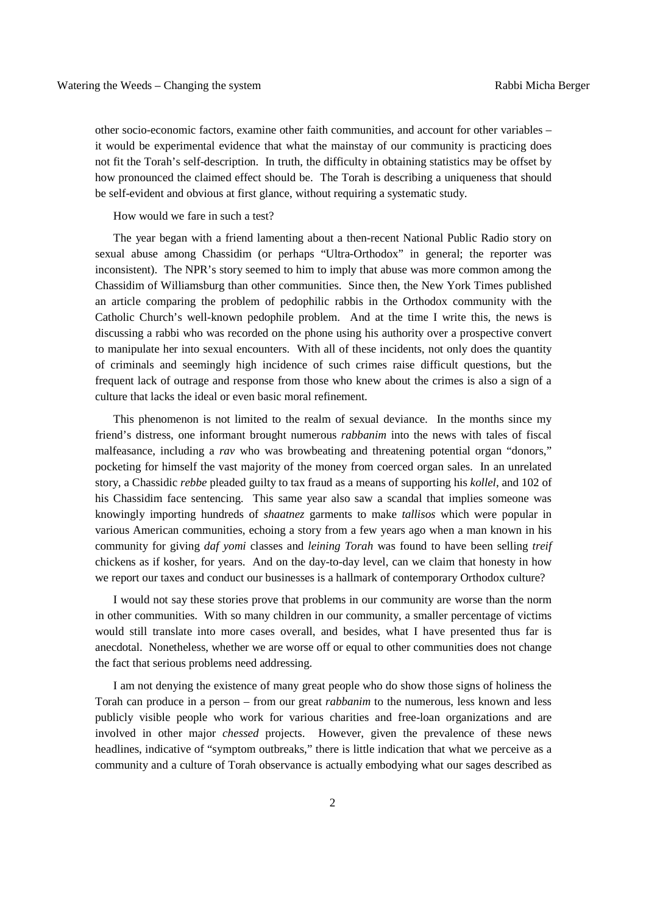other socio-economic factors, examine other faith communities, and account for other variables – it would be experimental evidence that what the mainstay of our community is practicing does not fit the Torah's self-description. In truth, the difficulty in obtaining statistics may be offset by how pronounced the claimed effect should be. The Torah is describing a uniqueness that should be self-evident and obvious at first glance, without requiring a systematic study.

How would we fare in such a test?

The year began with a friend lamenting about a then-recent National Public Radio story on sexual abuse among Chassidim (or perhaps "Ultra-Orthodox" in general; the reporter was inconsistent). The NPR's story seemed to him to imply that abuse was more common among the Chassidim of Williamsburg than other communities. Since then, the New York Times published an article comparing the problem of pedophilic rabbis in the Orthodox community with the Catholic Church's well-known pedophile problem. And at the time I write this, the news is discussing a rabbi who was recorded on the phone using his authority over a prospective convert to manipulate her into sexual encounters. With all of these incidents, not only does the quantity of criminals and seemingly high incidence of such crimes raise difficult questions, but the frequent lack of outrage and response from those who knew about the crimes is also a sign of a culture that lacks the ideal or even basic moral refinement.

This phenomenon is not limited to the realm of sexual deviance. In the months since my friend's distress, one informant brought numerous *rabbanim* into the news with tales of fiscal malfeasance, including a *rav* who was browbeating and threatening potential organ "donors," pocketing for himself the vast majority of the money from coerced organ sales. In an unrelated story, a Chassidic *rebbe* pleaded guilty to tax fraud as a means of supporting his *kollel*, and 102 of his Chassidim face sentencing. This same year also saw a scandal that implies someone was knowingly importing hundreds of *shaatnez* garments to make *tallisos* which were popular in various American communities, echoing a story from a few years ago when a man known in his community for giving *daf yomi* classes and *leining Torah* was found to have been selling *treif* chickens as if kosher, for years. And on the day-to-day level, can we claim that honesty in how we report our taxes and conduct our businesses is a hallmark of contemporary Orthodox culture?

I would not say these stories prove that problems in our community are worse than the norm in other communities. With so many children in our community, a smaller percentage of victims would still translate into more cases overall, and besides, what I have presented thus far is anecdotal. Nonetheless, whether we are worse off or equal to other communities does not change the fact that serious problems need addressing.

I am not denying the existence of many great people who do show those signs of holiness the Torah can produce in a person – from our great *rabbanim* to the numerous, less known and less publicly visible people who work for various charities and free-loan organizations and are involved in other major *chessed* projects. However, given the prevalence of these news headlines, indicative of "symptom outbreaks," there is little indication that what we perceive as a community and a culture of Torah observance is actually embodying what our sages described as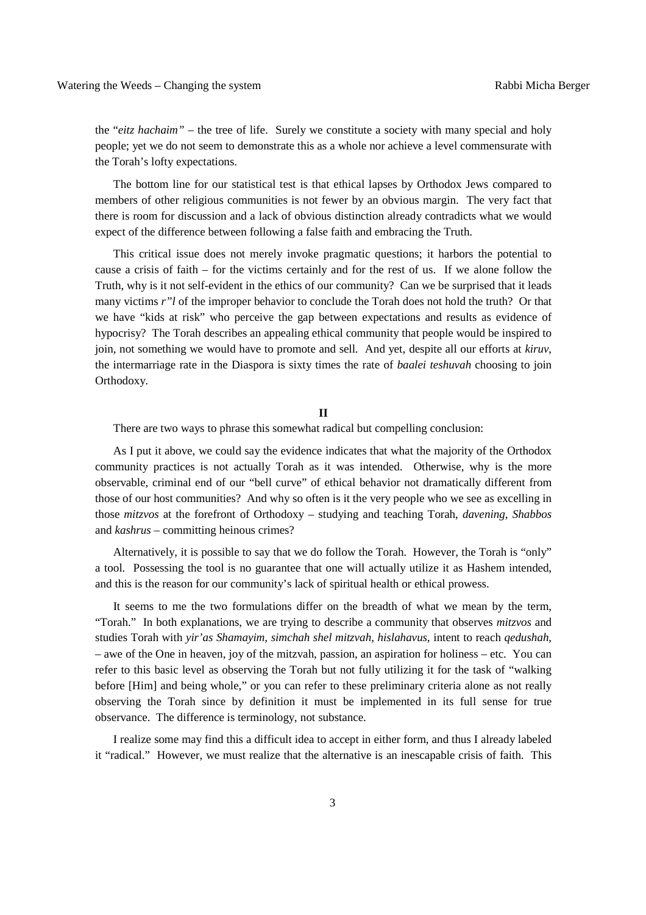the "*eitz hachaim"* – the tree of life. Surely we constitute a society with many special and holy people; yet we do not seem to demonstrate this as a whole nor achieve a level commensurate with the Torah's lofty expectations.

The bottom line for our statistical test is that ethical lapses by Orthodox Jews compared to members of other religious communities is not fewer by an obvious margin. The very fact that there is room for discussion and a lack of obvious distinction already contradicts what we would expect of the difference between following a false faith and embracing the Truth.

This critical issue does not merely invoke pragmatic questions; it harbors the potential to cause a crisis of faith – for the victims certainly and for the rest of us. If we alone follow the Truth, why is it not self-evident in the ethics of our community? Can we be surprised that it leads many victims *r"l* of the improper behavior to conclude the Torah does not hold the truth? Or that we have "kids at risk" who perceive the gap between expectations and results as evidence of hypocrisy? The Torah describes an appealing ethical community that people would be inspired to join, not something we would have to promote and sell. And yet, despite all our efforts at *kiruv*, the intermarriage rate in the Diaspora is sixty times the rate of *baalei teshuvah* choosing to join Orthodoxy.

### **II**

There are two ways to phrase this somewhat radical but compelling conclusion:

As I put it above, we could say the evidence indicates that what the majority of the Orthodox community practices is not actually Torah as it was intended. Otherwise, why is the more observable, criminal end of our "bell curve" of ethical behavior not dramatically different from those of our host communities? And why so often is it the very people who we see as excelling in those *mitzvos* at the forefront of Orthodoxy – studying and teaching Torah, *davening*, *Shabbos* and *kashrus* – committing heinous crimes?

Alternatively, it is possible to say that we do follow the Torah. However, the Torah is "only" a tool. Possessing the tool is no guarantee that one will actually utilize it as Hashem intended, and this is the reason for our community's lack of spiritual health or ethical prowess.

It seems to me the two formulations differ on the breadth of what we mean by the term, "Torah." In both explanations, we are trying to describe a community that observes *mitzvos* and studies Torah with *yir'as Shamayim*, *simchah shel mitzvah*, *hislahavus*, intent to reach *qedushah*, – awe of the One in heaven, joy of the mitzvah, passion, an aspiration for holiness – etc. You can refer to this basic level as observing the Torah but not fully utilizing it for the task of "walking before [Him] and being whole," or you can refer to these preliminary criteria alone as not really observing the Torah since by definition it must be implemented in its full sense for true observance. The difference is terminology, not substance.

I realize some may find this a difficult idea to accept in either form, and thus I already labeled it "radical." However, we must realize that the alternative is an inescapable crisis of faith. This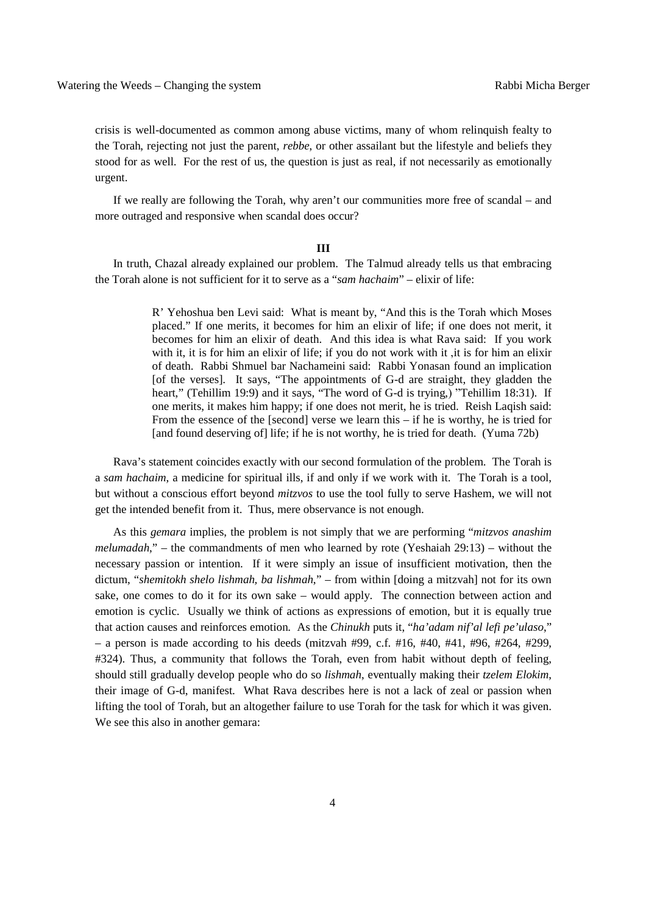crisis is well-documented as common among abuse victims, many of whom relinquish fealty to the Torah, rejecting not just the parent, *rebbe*, or other assailant but the lifestyle and beliefs they stood for as well. For the rest of us, the question is just as real, if not necessarily as emotionally urgent.

If we really are following the Torah, why aren't our communities more free of scandal – and more outraged and responsive when scandal does occur?

#### **III**

In truth, Chazal already explained our problem. The Talmud already tells us that embracing the Torah alone is not sufficient for it to serve as a "*sam hachaim*" – elixir of life:

> R' Yehoshua ben Levi said: What is meant by, "And this is the Torah which Moses placed." If one merits, it becomes for him an elixir of life; if one does not merit, it becomes for him an elixir of death. And this idea is what Rava said: If you work with it, it is for him an elixir of life; if you do not work with it ,it is for him an elixir of death. Rabbi Shmuel bar Nachameini said: Rabbi Yonasan found an implication [of the verses]. It says, "The appointments of G-d are straight, they gladden the heart," (Tehillim 19:9) and it says, "The word of G-d is trying,) "Tehillim 18:31). If one merits, it makes him happy; if one does not merit, he is tried. Reish Laqish said: From the essence of the [second] verse we learn this – if he is worthy, he is tried for [and found deserving of] life; if he is not worthy, he is tried for death. (Yuma 72b)

Rava's statement coincides exactly with our second formulation of the problem. The Torah is a *sam hachaim*, a medicine for spiritual ills, if and only if we work with it. The Torah is a tool, but without a conscious effort beyond *mitzvos* to use the tool fully to serve Hashem, we will not get the intended benefit from it. Thus, mere observance is not enough.

As this *gemara* implies, the problem is not simply that we are performing "*mitzvos anashim melumadah*," – the commandments of men who learned by rote (Yeshaiah 29:13) – without the necessary passion or intention. If it were simply an issue of insufficient motivation, then the dictum, "*shemitokh shelo lishmah, ba lishmah*," – from within [doing a mitzvah] not for its own sake, one comes to do it for its own sake – would apply. The connection between action and emotion is cyclic. Usually we think of actions as expressions of emotion, but it is equally true that action causes and reinforces emotion. As the *Chinukh* puts it, "*ha'adam nif'al lefi pe'ulaso*," – a person is made according to his deeds (mitzvah #99, c.f. #16, #40, #41, #96, #264, #299, #324). Thus, a community that follows the Torah, even from habit without depth of feeling, should still gradually develop people who do so *lishmah*, eventually making their *tzelem Elokim*, their image of G-d, manifest. What Rava describes here is not a lack of zeal or passion when lifting the tool of Torah, but an altogether failure to use Torah for the task for which it was given. We see this also in another gemara: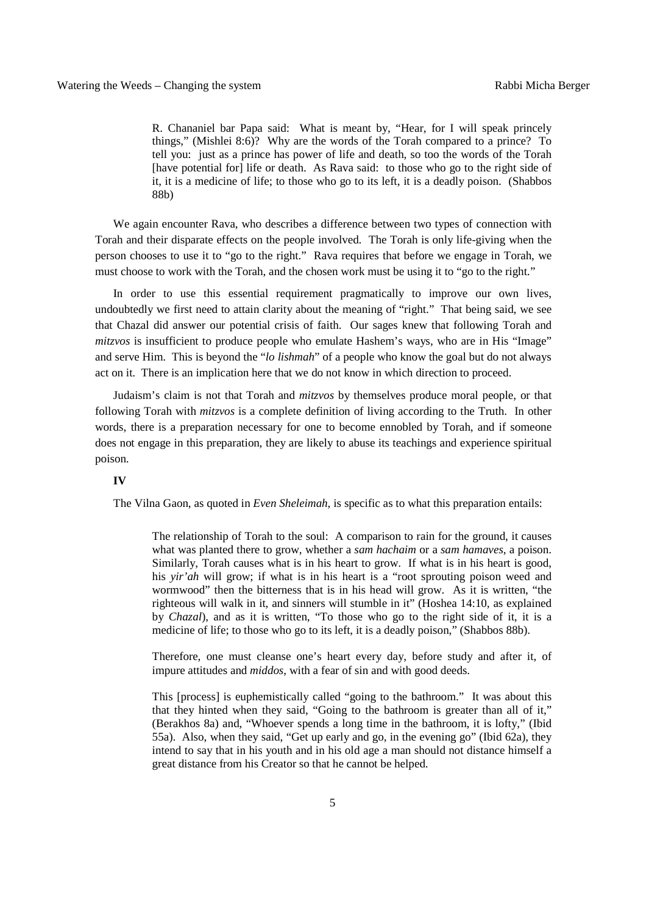R. Chananiel bar Papa said: What is meant by, "Hear, for I will speak princely things," (Mishlei 8:6)? Why are the words of the Torah compared to a prince? To tell you: just as a prince has power of life and death, so too the words of the Torah [have potential for] life or death. As Rava said: to those who go to the right side of it, it is a medicine of life; to those who go to its left, it is a deadly poison. (Shabbos 88b)

We again encounter Rava, who describes a difference between two types of connection with Torah and their disparate effects on the people involved. The Torah is only life-giving when the person chooses to use it to "go to the right." Rava requires that before we engage in Torah, we must choose to work with the Torah, and the chosen work must be using it to "go to the right."

In order to use this essential requirement pragmatically to improve our own lives, undoubtedly we first need to attain clarity about the meaning of "right." That being said, we see that Chazal did answer our potential crisis of faith. Our sages knew that following Torah and *mitzvos* is insufficient to produce people who emulate Hashem's ways, who are in His "Image" and serve Him. This is beyond the "*lo lishmah*" of a people who know the goal but do not always act on it. There is an implication here that we do not know in which direction to proceed.

Judaism's claim is not that Torah and *mitzvos* by themselves produce moral people, or that following Torah with *mitzvos* is a complete definition of living according to the Truth. In other words, there is a preparation necessary for one to become ennobled by Torah, and if someone does not engage in this preparation, they are likely to abuse its teachings and experience spiritual poison.

## **IV**

The Vilna Gaon, as quoted in *Even Sheleimah*, is specific as to what this preparation entails:

The relationship of Torah to the soul: A comparison to rain for the ground, it causes what was planted there to grow, whether a *sam hachaim* or a *sam hamaves*, a poison. Similarly, Torah causes what is in his heart to grow. If what is in his heart is good, his *yir'ah* will grow; if what is in his heart is a "root sprouting poison weed and wormwood" then the bitterness that is in his head will grow. As it is written, "the righteous will walk in it, and sinners will stumble in it" (Hoshea 14:10, as explained by *Chazal*), and as it is written, "To those who go to the right side of it, it is a medicine of life; to those who go to its left, it is a deadly poison," (Shabbos 88b).

Therefore, one must cleanse one's heart every day, before study and after it, of impure attitudes and *middos*, with a fear of sin and with good deeds.

This [process] is euphemistically called "going to the bathroom." It was about this that they hinted when they said, "Going to the bathroom is greater than all of it," (Berakhos 8a) and, "Whoever spends a long time in the bathroom, it is lofty," (Ibid 55a). Also, when they said, "Get up early and go, in the evening go" (Ibid 62a), they intend to say that in his youth and in his old age a man should not distance himself a great distance from his Creator so that he cannot be helped.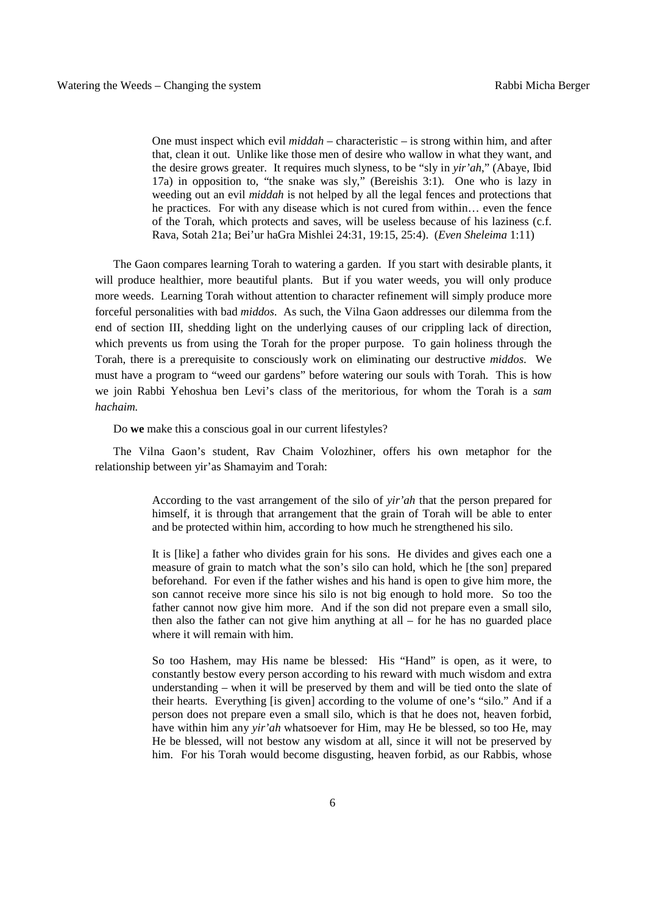One must inspect which evil *middah* – characteristic – is strong within him, and after that, clean it out. Unlike like those men of desire who wallow in what they want, and the desire grows greater. It requires much slyness, to be "sly in *yir'ah*," (Abaye, Ibid 17a) in opposition to, "the snake was sly," (Bereishis 3:1). One who is lazy in weeding out an evil *middah* is not helped by all the legal fences and protections that he practices. For with any disease which is not cured from within… even the fence of the Torah, which protects and saves, will be useless because of his laziness (c.f. Rava, Sotah 21a; Bei'ur haGra Mishlei 24:31, 19:15, 25:4). (*Even Sheleima* 1:11)

The Gaon compares learning Torah to watering a garden. If you start with desirable plants, it will produce healthier, more beautiful plants. But if you water weeds, you will only produce more weeds. Learning Torah without attention to character refinement will simply produce more forceful personalities with bad *middos*. As such, the Vilna Gaon addresses our dilemma from the end of section III, shedding light on the underlying causes of our crippling lack of direction, which prevents us from using the Torah for the proper purpose. To gain holiness through the Torah, there is a prerequisite to consciously work on eliminating our destructive *middos*. We must have a program to "weed our gardens" before watering our souls with Torah. This is how we join Rabbi Yehoshua ben Levi's class of the meritorious, for whom the Torah is a *sam hachaim.*

Do **we** make this a conscious goal in our current lifestyles?

The Vilna Gaon's student, Rav Chaim Volozhiner, offers his own metaphor for the relationship between yir'as Shamayim and Torah:

> According to the vast arrangement of the silo of *yir'ah* that the person prepared for himself, it is through that arrangement that the grain of Torah will be able to enter and be protected within him, according to how much he strengthened his silo.

> It is [like] a father who divides grain for his sons. He divides and gives each one a measure of grain to match what the son's silo can hold, which he [the son] prepared beforehand. For even if the father wishes and his hand is open to give him more, the son cannot receive more since his silo is not big enough to hold more. So too the father cannot now give him more. And if the son did not prepare even a small silo, then also the father can not give him anything at all – for he has no guarded place where it will remain with him.

> So too Hashem, may His name be blessed: His "Hand" is open, as it were, to constantly bestow every person according to his reward with much wisdom and extra understanding – when it will be preserved by them and will be tied onto the slate of their hearts. Everything [is given] according to the volume of one's "silo." And if a person does not prepare even a small silo, which is that he does not, heaven forbid, have within him any *yir'ah* whatsoever for Him, may He be blessed, so too He, may He be blessed, will not bestow any wisdom at all, since it will not be preserved by him. For his Torah would become disgusting, heaven forbid, as our Rabbis, whose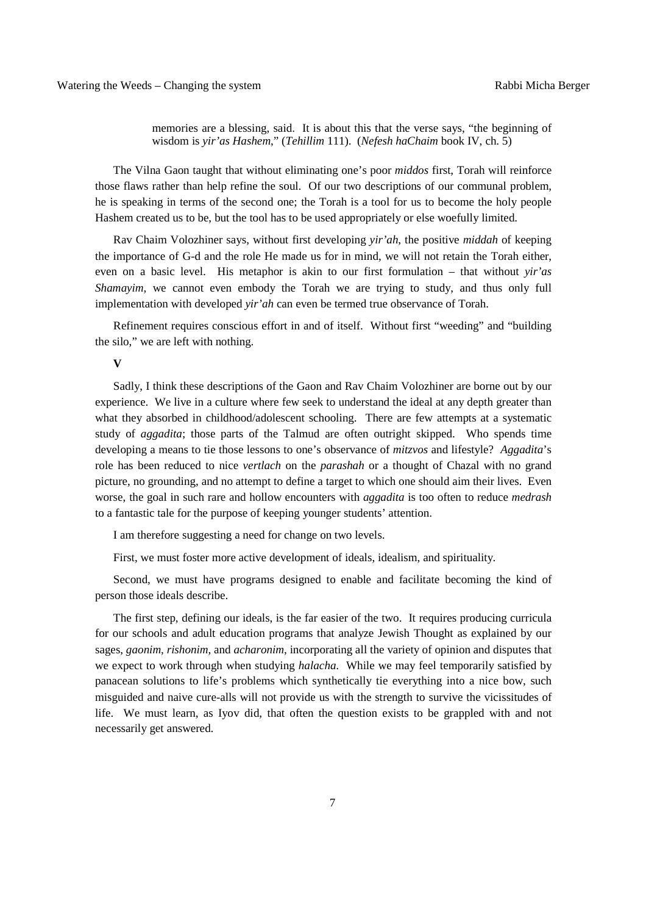memories are a blessing, said. It is about this that the verse says, "the beginning of wisdom is *yir'as Hashem*," (*Tehillim* 111). (*Nefesh haChaim* book IV, ch. 5)

The Vilna Gaon taught that without eliminating one's poor *middos* first, Torah will reinforce those flaws rather than help refine the soul. Of our two descriptions of our communal problem, he is speaking in terms of the second one; the Torah is a tool for us to become the holy people Hashem created us to be, but the tool has to be used appropriately or else woefully limited.

Rav Chaim Volozhiner says, without first developing *yir'ah*, the positive *middah* of keeping the importance of G-d and the role He made us for in mind, we will not retain the Torah either, even on a basic level. His metaphor is akin to our first formulation – that without *yir'as Shamayim*, we cannot even embody the Torah we are trying to study, and thus only full implementation with developed *yir'ah* can even be termed true observance of Torah.

Refinement requires conscious effort in and of itself. Without first "weeding" and "building the silo," we are left with nothing.

#### **V**

Sadly, I think these descriptions of the Gaon and Rav Chaim Volozhiner are borne out by our experience. We live in a culture where few seek to understand the ideal at any depth greater than what they absorbed in childhood/adolescent schooling. There are few attempts at a systematic study of *aggadita*; those parts of the Talmud are often outright skipped. Who spends time developing a means to tie those lessons to one's observance of *mitzvos* and lifestyle? *Aggadita*'s role has been reduced to nice *vertlach* on the *parashah* or a thought of Chazal with no grand picture, no grounding, and no attempt to define a target to which one should aim their lives. Even worse, the goal in such rare and hollow encounters with *aggadita* is too often to reduce *medrash* to a fantastic tale for the purpose of keeping younger students' attention.

I am therefore suggesting a need for change on two levels.

First, we must foster more active development of ideals, idealism, and spirituality.

Second, we must have programs designed to enable and facilitate becoming the kind of person those ideals describe.

The first step, defining our ideals, is the far easier of the two. It requires producing curricula for our schools and adult education programs that analyze Jewish Thought as explained by our sages, *gaonim*, *rishonim*, and *acharonim*, incorporating all the variety of opinion and disputes that we expect to work through when studying *halacha*. While we may feel temporarily satisfied by panacean solutions to life's problems which synthetically tie everything into a nice bow, such misguided and naive cure-alls will not provide us with the strength to survive the vicissitudes of life. We must learn, as Iyov did, that often the question exists to be grappled with and not necessarily get answered.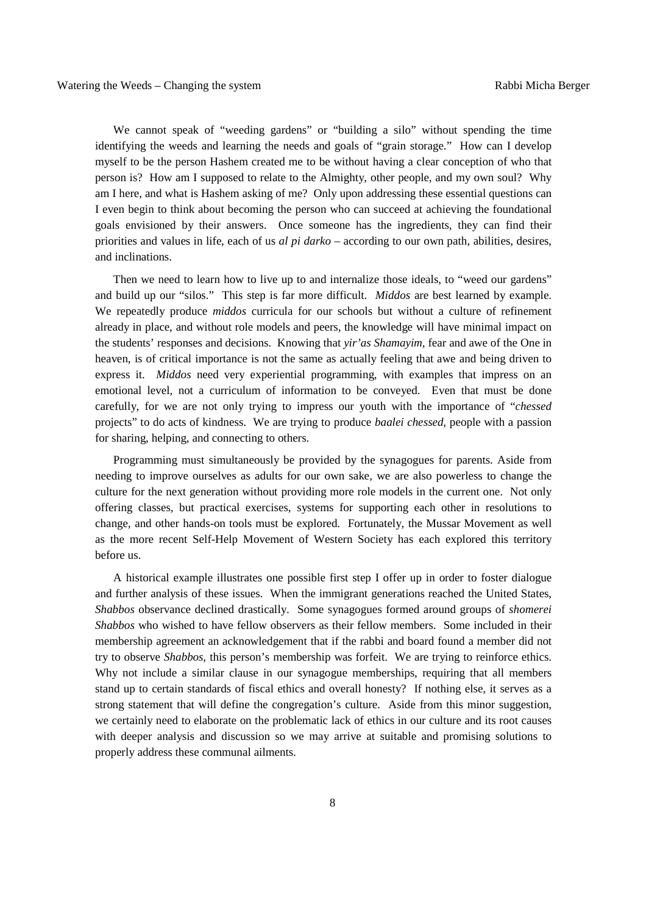We cannot speak of "weeding gardens" or "building a silo" without spending the time identifying the weeds and learning the needs and goals of "grain storage." How can I develop myself to be the person Hashem created me to be without having a clear conception of who that person is? How am I supposed to relate to the Almighty, other people, and my own soul? Why am I here, and what is Hashem asking of me? Only upon addressing these essential questions can I even begin to think about becoming the person who can succeed at achieving the foundational goals envisioned by their answers. Once someone has the ingredients, they can find their priorities and values in life, each of us *al pi darko –* according to our own path, abilities, desires, and inclinations.

Then we need to learn how to live up to and internalize those ideals, to "weed our gardens" and build up our "silos." This step is far more difficult. *Middos* are best learned by example. We repeatedly produce *middos* curricula for our schools but without a culture of refinement already in place, and without role models and peers, the knowledge will have minimal impact on the students' responses and decisions. Knowing that *yir'as Shamayim*, fear and awe of the One in heaven, is of critical importance is not the same as actually feeling that awe and being driven to express it. *Middos* need very experiential programming, with examples that impress on an emotional level, not a curriculum of information to be conveyed. Even that must be done carefully, for we are not only trying to impress our youth with the importance of "*chessed*  projects" to do acts of kindness. We are trying to produce *baalei chessed*, people with a passion for sharing, helping, and connecting to others.

Programming must simultaneously be provided by the synagogues for parents. Aside from needing to improve ourselves as adults for our own sake, we are also powerless to change the culture for the next generation without providing more role models in the current one. Not only offering classes, but practical exercises, systems for supporting each other in resolutions to change, and other hands-on tools must be explored. Fortunately, the Mussar Movement as well as the more recent Self-Help Movement of Western Society has each explored this territory before us.

A historical example illustrates one possible first step I offer up in order to foster dialogue and further analysis of these issues. When the immigrant generations reached the United States, *Shabbos* observance declined drastically. Some synagogues formed around groups of *shomerei Shabbos* who wished to have fellow observers as their fellow members. Some included in their membership agreement an acknowledgement that if the rabbi and board found a member did not try to observe *Shabbos*, this person's membership was forfeit. We are trying to reinforce ethics. Why not include a similar clause in our synagogue memberships, requiring that all members stand up to certain standards of fiscal ethics and overall honesty? If nothing else, it serves as a strong statement that will define the congregation's culture. Aside from this minor suggestion, we certainly need to elaborate on the problematic lack of ethics in our culture and its root causes with deeper analysis and discussion so we may arrive at suitable and promising solutions to properly address these communal ailments.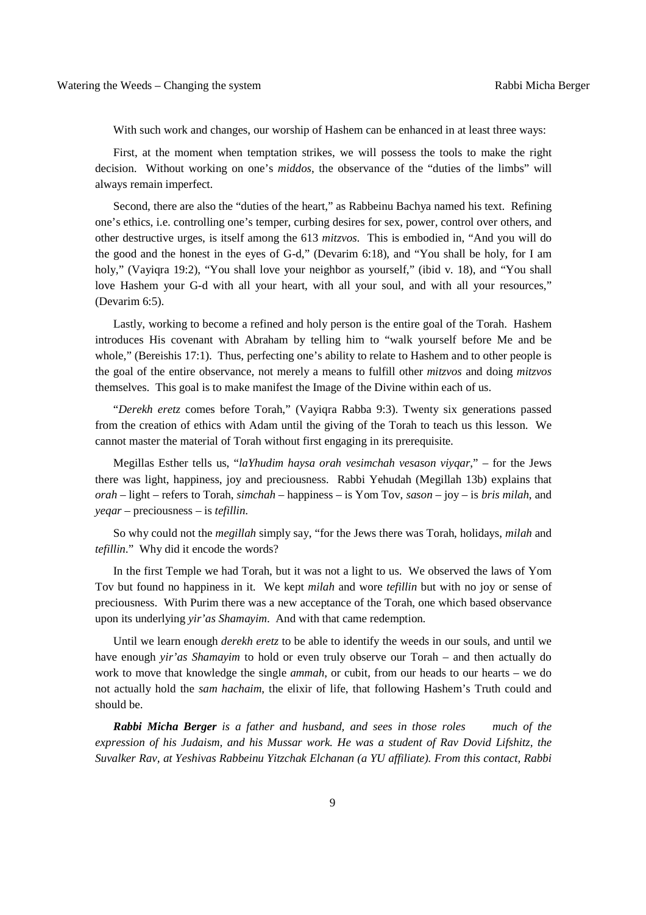With such work and changes, our worship of Hashem can be enhanced in at least three ways:

First, at the moment when temptation strikes, we will possess the tools to make the right decision. Without working on one's *middos*, the observance of the "duties of the limbs" will always remain imperfect.

Second, there are also the "duties of the heart," as Rabbeinu Bachya named his text. Refining one's ethics, i.e. controlling one's temper, curbing desires for sex, power, control over others, and other destructive urges, is itself among the 613 *mitzvos*. This is embodied in, "And you will do the good and the honest in the eyes of G-d," (Devarim 6:18), and "You shall be holy, for I am holy," (Vayiqra 19:2), "You shall love your neighbor as yourself," (ibid v. 18), and "You shall love Hashem your G-d with all your heart, with all your soul, and with all your resources," (Devarim 6:5).

Lastly, working to become a refined and holy person is the entire goal of the Torah. Hashem introduces His covenant with Abraham by telling him to "walk yourself before Me and be whole," (Bereishis 17:1). Thus, perfecting one's ability to relate to Hashem and to other people is the goal of the entire observance, not merely a means to fulfill other *mitzvos* and doing *mitzvos* themselves. This goal is to make manifest the Image of the Divine within each of us.

"*Derekh eretz* comes before Torah," (Vayiqra Rabba 9:3). Twenty six generations passed from the creation of ethics with Adam until the giving of the Torah to teach us this lesson. We cannot master the material of Torah without first engaging in its prerequisite.

Megillas Esther tells us, "*laYhudim haysa orah vesimchah vesason viyqar*," – for the Jews there was light, happiness, joy and preciousness. Rabbi Yehudah (Megillah 13b) explains that *orah* – light – refers to Torah, *simchah* – happiness – is Yom Tov, *sason* – joy – is *bris milah*, and *yeqar* – preciousness – is *tefillin*.

So why could not the *megillah* simply say, "for the Jews there was Torah, holidays, *milah* and *tefillin*." Why did it encode the words?

In the first Temple we had Torah, but it was not a light to us. We observed the laws of Yom Tov but found no happiness in it. We kept *milah* and wore *tefillin* but with no joy or sense of preciousness. With Purim there was a new acceptance of the Torah, one which based observance upon its underlying *yir'as Shamayim*. And with that came redemption.

Until we learn enough *derekh eretz* to be able to identify the weeds in our souls, and until we have enough *yir'as Shamayim* to hold or even truly observe our Torah – and then actually do work to move that knowledge the single *ammah*, or cubit, from our heads to our hearts – we do not actually hold the *sam hachaim*, the elixir of life, that following Hashem's Truth could and should be.

*Rabbi Micha Berger is a father and husband, and sees in those roles much of the expression of his Judaism, and his Mussar work. He was a student of Rav Dovid Lifshitz, the Suvalker Rav, at Yeshivas Rabbeinu Yitzchak Elchanan (a YU affiliate). From this contact, Rabbi*